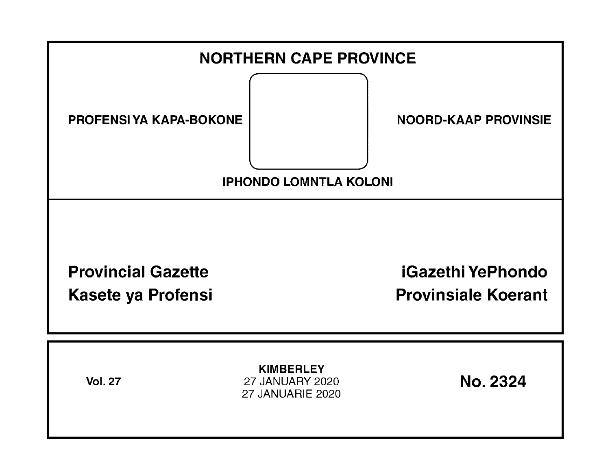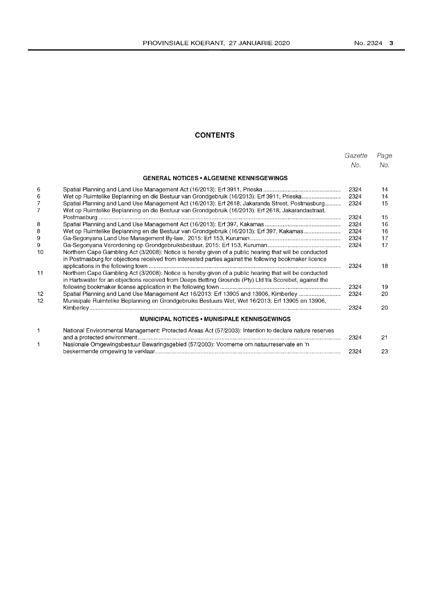### **CONTENTS**

|                     |                                                                                                                                                                                                                   | Gazette | Page |
|---------------------|-------------------------------------------------------------------------------------------------------------------------------------------------------------------------------------------------------------------|---------|------|
|                     |                                                                                                                                                                                                                   | No.     | No.  |
|                     | <b>GENERAL NOTICES • ALGEMENE KENNISGEWINGS</b>                                                                                                                                                                   |         |      |
| 6                   |                                                                                                                                                                                                                   | 2324    | 14   |
| 6                   | Wet op Ruimtelike Beplanning en die Bestuur van Grondgebruik (16/2013): Erf 3911, Prieska                                                                                                                         | 2324    | 14   |
| 7<br>$\overline{7}$ | Spatial Planning and Land Use Management Act (16/2013): Erf 2618, Jakaranda Street, Postmasburg<br>Wet op Ruimtelike Beplanning en die Bestuur van Grondgebruik (16/2013): Erf 2618, Jakarandastraat,             | 2324    | 15   |
|                     |                                                                                                                                                                                                                   | 2324    | 15   |
| 8                   |                                                                                                                                                                                                                   | 2324    | 16   |
| 8                   | Wet op Ruimtelike Beplanning en die Bestuur van Grondgebruik (16/2013): Erf 397, Kakamas                                                                                                                          | 2324    | 16   |
| 9                   |                                                                                                                                                                                                                   | 2324    | 17   |
| 9<br>10             | Northern Cape Gambling Act (3/2008): Notice is hereby given of a public hearing that will be conducted                                                                                                            | 2324    | 17   |
|                     | in Postmasburg for objections received from interested parties against the following bookmaker licence                                                                                                            |         |      |
|                     |                                                                                                                                                                                                                   | 2324    | 18   |
| 11                  | Northern Cape Gambling Act (3/2008): Notice is hereby given of a public hearing that will be conducted<br>in Hartswater for an objections received from Deeps Betting Grounds (Pty) Ltd t/a Scorebet, against the |         |      |
|                     |                                                                                                                                                                                                                   | 2324    | 19   |
| 12<br>12            | Spatial Planning and Land Use Management Act 16/2013: Erf 13905 and 13906, Kimberley<br>Munisipale Ruimtelike Beplanning en Grondgebruiks Bestuurs Wet, Wet 16/2013: Erf 13905 en 13906,                          | 2324    | 20   |
|                     |                                                                                                                                                                                                                   | 2324    | 20   |
|                     | <b>MUNICIPAL NOTICES • MUNISIPALE KENNISGEWINGS</b>                                                                                                                                                               |         |      |
| 1                   | National Environmental Management: Protected Areas Act (57/2003): Intention to declare nature reserves                                                                                                            |         |      |
| 1                   | Nasionale Omgewingsbestuur Bewaringsgebied (57/2003): Voorneme om natuurreservate en 'n                                                                                                                           | 2324    | 21   |
|                     |                                                                                                                                                                                                                   | 2324    | 23   |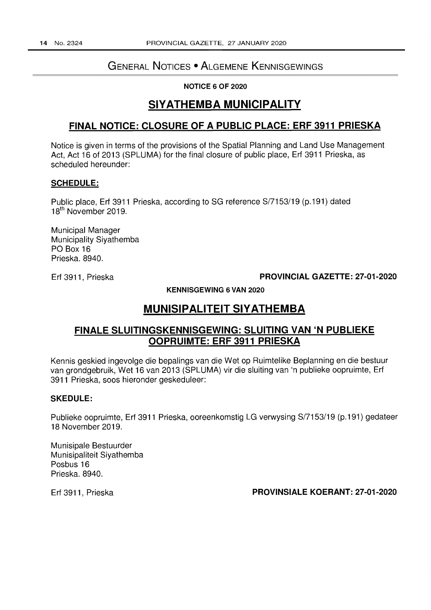# GENERAL NOTICES • ALGEMENE KENNISGEWINGS

**NOTICE 6 OF** 2020

# **SIYATHEMBA MUNICIPALITY**

# **FINAL NOTICE: CLOSURE OF A PUBLIC PLACE: ERF 3911 PRIESKA**

Notice is given in terms of the provisions of the Spatial Planning and Land Use Management Act, Act 16 of 2013 (SPLUMA) for the final closure of public place, Erf 3911 Prieska, as scheduled hereunder:

### **SCHEDULE:**

Public place, Erf 3911 Prieska, according to SG reference S/7153/19 (p.191) dated 18th November 2019.

Municipal Manager Municipality Siyathemba PO Box 16 Prieska. 8940.

### Erf 3911, Prieska **PROVINCIAL GAZETTE: 27-01-2020**

**KENNISGEWING 6 VAN** 2020

# **MUNISIPALITEIT SlY ATHEMBA**

# **FINALE SLUITINGSKENNISGEWING: SLUITING VAN 'N PUBLIEKE OOPRUIMTE: ERF 3911 PRIESKA**

Kennis geskied ingevolge die bepalings van die Wet op Ruimtelike Beplanning en die bestuur van grondgebruik, Wet 16 van 2013 (SPLUMA) vir die sluiting van 'n publieke oopruimte, Erf 3911 Prieska, soos hieronder geskeduleer:

### **SKEDULE:**

Publieke oopruimte, Erf 3911 Prieska, ooreenkomstig LG verwysing S/7153/19 (p.191) gedateer 18 November 2019.

Munisipale Bestuurder Munisipaliteit Siyathemba Posbus 16 Prieska.8940.

## Erf 3911, Prieska **PROVINSIALE KOERANT: 27-01-2020**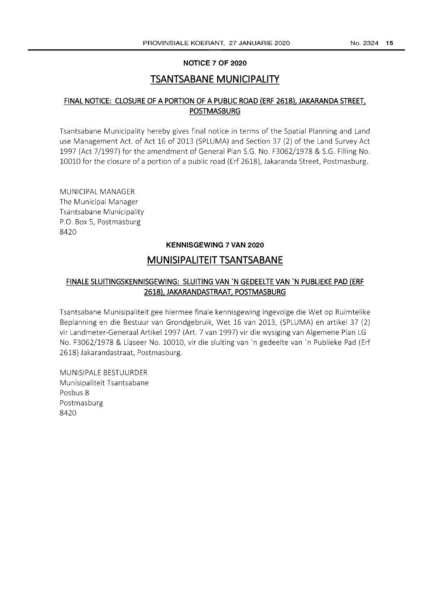### **NOTICE 7 OF 2020**

# **TSANTSABANE MUNICIPALITY**

## **FINAL NOTICE: CLOSURE OF A PORTION OF A PUBLIC ROAD (ERF 2618), JAKARANDA STREET, POSTMASBURG**

Tsantsabane Municipality hereby gives final notice in terms of the Spatial Planning and Land use Management Act. of Act 16 of 2013 (SPLUMA) and Section 37 (2) of the Land Survey Act 1997 (Act 7/1997) for the amendment of General Plan S.G. No. F3062/1978 & S.G. Filling No. 10010 for the closure of a portion of a public road (Erf 2618), Jakaranda Street, Postmasburg.

MUNICIPAL MANAGER The Municipal Manager Tsantsabane Municipality P.O. Box 5, Postmasburg 8420

### **KENNISGEWING 7 VAN 2020**

# **MUNISIPALITEIT TSANTSABANE**

# **FINALE SLUITINGSKENNISGEWING: SLUITING VAN 'N GEDEELTE VAN 'N PUBLIEKE PAD (ERF 2618), JAKARANDASTRAAT, POSTMASBURG**

Tsantsabane Munisipaliteit gee hiermee finale kennisgewing ingevolge die Wet op Ruimtelike Beplanning en die Bestuur van Grondgebruik, Wet 16 van 2013, (SPLUMA) en artikel 37 (2) vir Landmeter-Generaal Artikel 1997 (Art. 7 van 1997) vir die wysiging van Algemene Plan LG No. F3062/1978 & Liaseer No. 10010, vir die sluiting van 'n gedeelte van 'n Publieke Pad (Erf 2618) Jakarandastraat, Postmasburg.

MUNISIPALE BESTUURDER Munisipaliteit Tsantsabane Posbus 8 Postmasburg 8420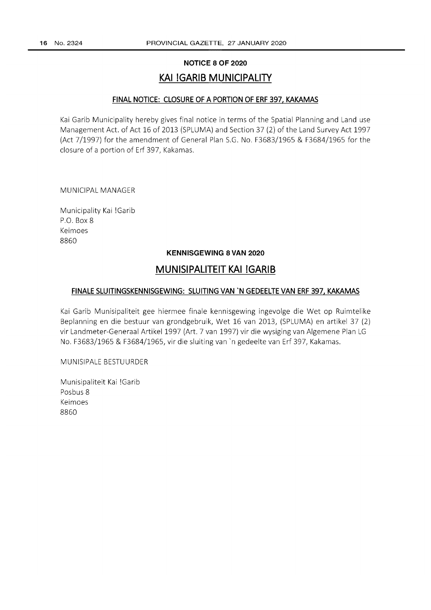#### **NOTICE 8 OF 2020**

# **KAI IGARIB MUNICIPALITY**

#### **FINAL NOTICE: CLOSURE OF A PORTION OF ERF 397, KAKAMAS**

Kai Garib Municipality hereby gives final notice in terms of the Spatial Planning and Land use Management Act. of Act 16 of 2013 (SPLUMA) and Section 37 (2) of the Land Survey Act 1997 (Act 7/1997) for the amendment of General Plan S.G. No. F3683/1965 & F3684/1965 for the closure of a portion of Erf 397, Kakamas.

MUNICIPAL MANAGER

Municipality Kai !Garib P.O. Box 8 Keimoes 8860

#### **KENNISGEWING 8 VAN 2020**

# **MUNISIPALITEIT KAI !GARIB**

#### **FINALE SLUITINGSKENNISGEWING: SLUITING VAN 'N GEDEELTE VAN ERF 397, KAKAMAS**

Kai Garib Munisipaliteit gee hiermee finale kennisgewing ingevolge die Wet op Ruimtelike Beplanning en die bestuur van grondgebruik, Wet 16 van 2013, (SPLUMA) en artikel 37 (2) vir Landmeter-Generaal Artikel1997 (Art. 7 van 1997) vir die wysiging van Aigemene Plan LG No. F3683/1965 & F3684/1965, vir die sluiting van 'n gedeelte van Erf 397, Kakamas.

MUNISIPALE BESTUURDER

Munisipaliteit Kai !Garib Posbus 8 Keimoes 8860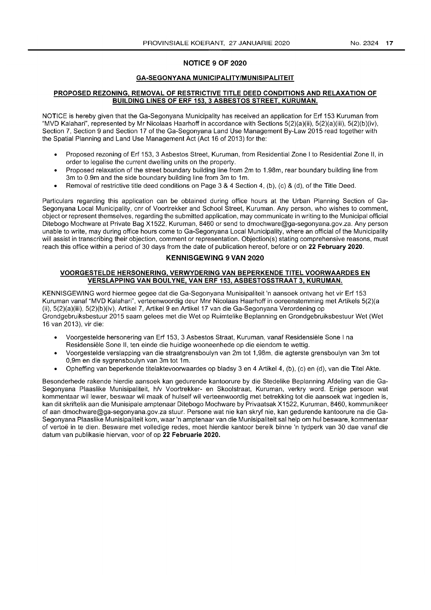#### NOTICE 9 OF 2020

#### GA-SEGONYANA MUNICIPALITY/MUNISIPALITEIT

#### PROPOSED REZONING, REMOVAL OF RESTRICTIVE TITLE DEED CONDITIONS AND RELAXATION OF BUILDING LINES OF ERF 153, 3 ASBESTOS STREET, KURUMAN.

NOTICE is hereby given that the Ga-Segonyana Municipality has received an application for Erf 153 Kuruman from "MVD Kalahari", represented by Mr Nicolaas Haarhoff in accordance with Sections 5(2)(a)(ii), 5(2)(a)(iii), 5(2)(b)(iv), Section 7, Section 9 and Section 17 of the Ga-Segonyana Land Use Management By-Law 2015 read together with the Spatial Planning and Land Use Management Act (Act 16 of 2013) for the:

- Proposed rezoning of Erf 153,3 Asbestos Street, Kuruman, from Residential Zone I to Residential Zone II, in order to legalise the current dwelling units on the property.
- Proposed relaxation of the street boundary building line from 2m to 1.98m, rear boundary building line from 3m to 0.9m and the side boundary building line from 3m to 1m.
- Removal of restrictive title deed conditions on Page 3 & 4 Section 4, (b), (c) & (d), of the Title Deed.

Particulars regarding this application can be obtained during office hours at the Urban Planning Section of Ga-Segonyana Local Municipality, cnr of Voortrekker and School Street, Kuruman. Any person, who wishes to comment, object or represent themselves, regarding the submitted application, may communicate in writing to the Municipal official Ditebogo Mochware at Private Bag X1522, Kuruman, 8460 or send to dmochware@ga-segonyana.gov.za. Any person unable to write, may during office hours come to Ga-Segonyana Local Municipality, where an official of the Municipality will assist in transcribing their objection, comment or representation. Objection(s) stating comprehensive reasons, must reach this office within a period of 30 days from the date of publication hereof, before or on 22 February 2020.

### KENNISGEWING 9 VAN 2020

#### VOORGESTELDE HERSONERING, VERWYDERING VAN BEPERKENDE TITEL VOORWAARDES EN VERSLAPPING VAN BOULYNE, VAN ERF 153, ASBESTOSSTRAAT 3, KURUMAN.

KENNISGEWING word hiermee gegee dat die Ga-Segonyana Munisipaliteit 'n aansoek ontvang het vir Erf 153 Kuruman vanaf "MVD Kalahari", verteenwoordig deur Mnr Nicolaas Haarhoff in ooreenstemming met Artikels 5(2)(a (ii), 5(2)(a)(iii), 5(2)(b)(iv), Artikel 7, Artikel 9 en Artikel 17 van die Ga-Segonyana Verordening op Grondgebruiksbestuur 2015 saam gelees met die Wet op Ruimtelike Beplanning en Grondgebruiksbestuur Wet (Wet 16 van 2013), vir die:

- Voorgestelde hersonering van Erf 153,3 Asbestos Straat, Kuruman, vanaf Residensiele Sone I na Residensiele Sone II, ten einde die huidige wooneenhede op die eiendom te wettig.
- Voorgestelde verslapping van die straatgrensboulyn van 2m tot 1 ,98m, die agterste grensboulyn van 3m tot 0,9m en die sygrensboulyn van 3m tot 1m.
- Opheffing van beperkende titelaktevoorwaardes op bladsy 3 en 4 Artikel 4, (b), (c) en (d), van die Titel Akte.

Besonderhede rakende hierdie aansoek kan gedurende kantoorure by die Stedelike Beplanning Afdeling van die Ga-Segonyana Plaaslike Munisipaliteit, h/v Voortrekker- en Skoolstraat, Kuruman, verkry word. Enige persoon wat kommentaar wil lewer, beswaar wil maak of hulself wil verteenwoordig met betrekking tot die aansoek wat ingedien is, kan dit skriftelik aan die Munisipale amptenaar Ditebogo Mochware by Privaatsak X1522, Kuruman, 8460, kommunikeer of aan dmochware@ga-segonyana.gov.za stuur. Persone wat nie kan skryf nie, kan gedurende kantoorure na die Ga-Segonyana Plaaslike Munisipaliteit kom, waar 'n amptenaar van die Munisipaliteit sal help om hul besware, kommentaar of vertoe in te dien. Besware met volledige redes, moet hierdie kantoor bereik binne 'n tydperk van 30 dae vanaf die datum van publikasie hiervan, voor of op 22 Februarie 2020.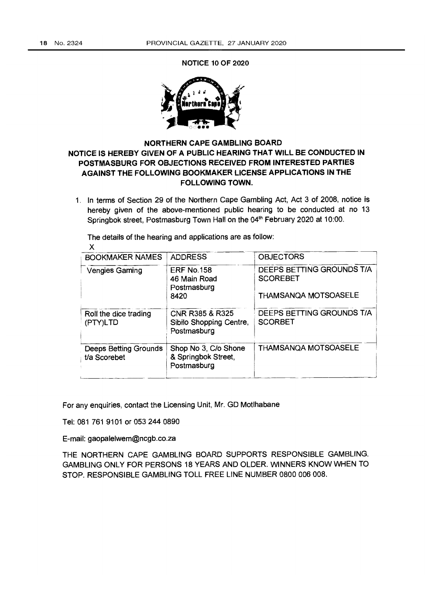NOTICE 10 OF 2020



# NORTHERN CAPE GAMBLING BOARD NOTICE IS HEREBY GIVEN OF A PUBLIC HEARING THAT WILL BE CONDUCTED IN POSTMASBURG FOR OBJECTIONS RECEIVED FROM INTERESTED PARTIES AGAINST THE FOLLOWING BOOKMAKER LICENSE APPLICATIONS IN THE FOLLOWING TOWN.

1. In terms of Section 29 of the Northern Cape Gambling Act, Act 3 of 2008, notice is hereby given of the above-mentioned public hearing to be conducted at no 13 Springbok street, Postmasburg Town Hall on the 04<sup>th</sup> February 2020 at 10:00.

The details of the hearing and applications are as follow:

| <b>ADDRESS</b>                                             | <b>OBJECTORS</b>                             |
|------------------------------------------------------------|----------------------------------------------|
| <b>ERF No.158</b><br>46 Main Road                          | DEEPS BETTING GROUNDS T/A<br><b>SCOREBET</b> |
| 8420                                                       | <b>THAMSANQA MOTSOASELE</b>                  |
| CNR R385 & R325<br>Sibilo Shopping Centre,<br>Postmasburg  | DEEPS BETTING GROUNDS T/A<br><b>SCORBET</b>  |
| Shop No 3, C/o Shone<br>& Springbok Street,<br>Postmasburg | <b>THAMSANQA MOTSOASELE</b>                  |
|                                                            | Postmasburg                                  |

For any enquiries, contact the Licensing Unit, Mr. GO Motlhabane

Tel: 081 761 9101 or 053 244 0890

E-mail: gaopalelwem@ncgb.co.za

THE NORTHERN CAPE GAMBLING BOARD SUPPORTS RESPONSIBLE GAMBLING. GAMBLING ONLY FOR PERSONS 18 YEARS AND OLDER. WINNERS KNOW WHEN TO STOP. RESPONSIBLE GAMBLING TOLL FREE LINE NUMBER 0800 006 008.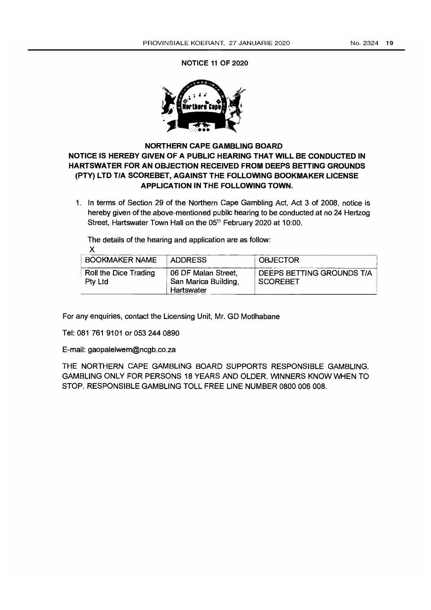NOTICE 11 OF 2020



# NORTHERN CAPE GAMBLING BOARD NOTICE IS HEREBY GIVEN OF A PUBLIC HEARING THAT WILL BE CONDUCTED IN HARTSWATER FOR AN OBJECTION RECEIVED FROM DEEPS BETTING GROUNDS (PTY) LTD *T/A* SCOREBET, AGAINST THE FOLLOWING BOOKMAKER LICENSE APPLICATION IN THE FOLLOWING TOWN.

1. In terms of Section 29 of the Northern Cape Gambling Act, Act 3 of 2008, notice is hereby given of the above-mentioned public hearing to be conducted at no 24 Hertzog Street, Hartswater Town Hall on the 05<sup>th</sup> February 2020 at 10:00.

The details of the hearing and application are as follow:

X

| BOOKMAKER NAME                          | <b>ADDRESS</b>                                            | <b>OBJECTOR</b>                              |
|-----------------------------------------|-----------------------------------------------------------|----------------------------------------------|
| <b>Roll the Dice Trading</b><br>Pty Ltd | 06 DF Malan Street,<br>San Marica Building,<br>Hartswater | DEEPS BETTING GROUNDS T/A<br><b>SCOREBET</b> |

For any enquiries, contact the licensing Unit, Mr. GO Motlhabane

Tel: 081 761 9101 or 053 244 0890

E-mail: gaopalelwem@ncgb.co.za

THE NORTHERN CAPE GAMBLING BOARD SUPPORTS RESPONSIBLE GAMBLING. GAMBLING ONLY FOR PERSONS 18 YEARS AND OLDER. WINNERS KNOW WHEN TO STOP. RESPONSIBLE GAMBLING TOLL FREE LINE NUMBER 0800 006 008.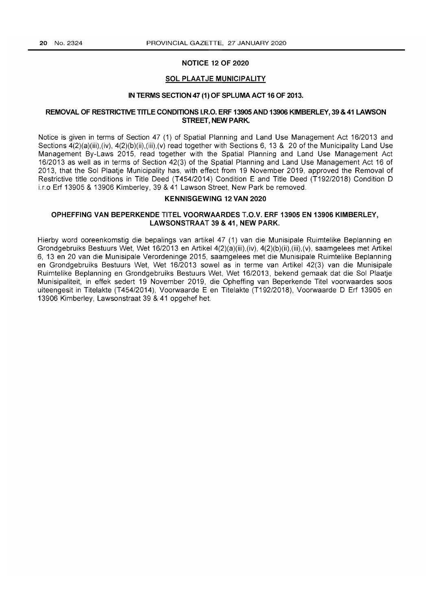#### **NOTICE 12 OF 2020**

#### **SOL PLAAT JE MUNICIPALITY**

#### **IN TERMS SECTION 47 (1) OF SPLUMA ACT 16 OF 2013.**

#### **REMOVAL OF RESTRICTIVE TITLE CONDITIONS I.RO. ERF 13905 AND 13906 KIMBERLEY, 39 & 41 LAWSON STREET, NEW PARK.**

Notice is given in terms of Section 47 (1) of Spatial Planning and Land Use Management Act 16/2013 and Sections  $4(2)(a)(iii),(iv), 4(2)(b)(ii),(iii),(v)$  read together with Sections 6, 13 & 20 of the Municipality Land Use Management By-Laws 2015, read together with the Spatial Planning and Land Use Management Act 16/2013 as well as in terms of Section 42(3) of the Spatial Planning and Land Use Management Act 16 of 2013, that the Sol Plaatje Municipality has, with effect from 19 November 2019, approved the Removal of Restrictive title conditions in Title Deed (T454/2014) Condition E and Title Deed (T192/2018) Condition D i.r.o Erf 13905 & 13906 Kimberley, 39 & 41 Lawson Street, New Park be removed.

#### **KENNISGEWING 12 VAN 2020**

#### **OPHEFFING VAN BEPERKENDE TITEL VOORWAARDES T.O.V. ERF 13905 EN 13906 KIMBERLEY, LAWSONSTRAAT 39 & 41, NEW PARK.**

Hierby word ooreenkomstig die bepalings van artikel 47 (1) van die Munisipale Ruimtelike Beplanning en Grondgebruiks Bestuurs Wet, Wet 16/2013 en Artikel 4(2)(a)(iii),(iv), 4(2)(b)(ii),(iii),(v), saamgelees met Artikel 6, 13 en 20 van die Munisipale Verordeninge 2015, saamgelees met die Munisipale Ruimtelike Beplanning en Grondgebruiks Bestuurs Wet, Wet 16/2013 sowel as in terme van Artikel 42(3) van die Munisipale Ruimtelike Beplanning en Grondgebruiks Bestuurs Wet, Wet 16/2013, bekend gemaak dat die Sol Plaatje Munisipaliteit, in effek sedert 19 November 2019, die Opheffing van Beperkende Titel voorwaardes soos uiteengesit in Titelakte (T454/2014), Voorwaarde E en Titelakte (T192/2018), Voorwaarde D Erf 13905 en 13906 Kimberley, Lawsonstraat 39 & 41 opgehef het.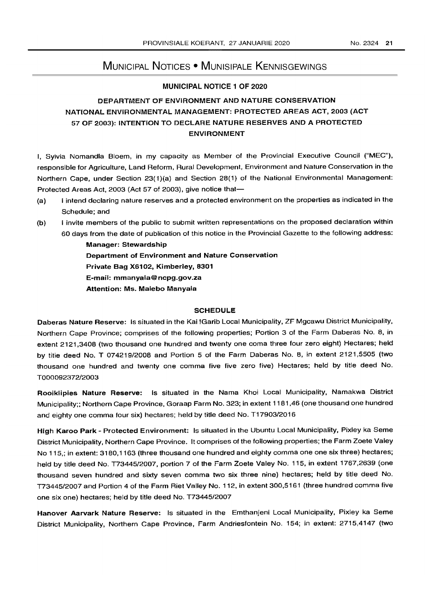# MUNICIPAL NOTICES • MUNISIPALE KENNISGEWINGS

### MUNICIPAL NOTICE 1 OF 2020

# DEPARTMENT OF ENVIRONMENT AND NATURE CONSERVATION NATIONAL ENVIRONMENTAL MANAGEMENT: PROTECTED AREAS ACT, 2003 (ACT 57 OF 2003): INTENTION TO DECLARE NATURE RESERVES AND A PROTECTED ENVIRONMENT

I. Sylvia Nomandla Bloem, in my capacity as Member of the Provincial Executive Council ("MEC"). responsible for Agriculture, Land Reform, Rural Development, Environment and Nature Conservation in the Northern Cape, under Section 23(1)(a) and Section 28(1) of the National Environmental Management: Protected Areas Act, 2003 (Act 57 of 2003), give notice that-

- (a) I intend declaring nature reserves and a protected environment on the properties as indicated in the Schedule; and
- (b) I invite members of the public to submit written representations on the proposed declaration within 60 days from the date of publication of this notice in the Provincial Gazette to the following address:

Manager: Stewardship Department of Environment and Nature Conservation Private Bag X6102, Kimberley, 8301 E-mail: mmanyala@ncpg.gov.za Attention: Ms. Malebo Manyala

#### **SCHEDULE**

Daberas Nature Reserve: Is situated in the Kai !Garib Local Municipality, ZF Mgcawu District Municipality. Northern Cape Province; comprises of the following properties; Portion 3 of the Farm Daberas No.8, in extent 2121,3408 (two thousand one hundred and twenty one coma three four zero eight) Hectares; held by title deed No. T 074219/2008 and Portion 5 of the Farm Daberas No. 8, in extent 2121,5505 (two thousand one hundred and twenty one comma five five zero five) Hectares; held by title deed No. T00009237212003

Rooiklipies Nature Reserve: Is situated in the Nama Khoi Local Municipality, Namakwa District Municipality;; Northern Cape Province, Goraap Farm No. 323; in extent 1181,46 (one thousand one hundred and eighty one comma four six) hectares; held by title deed No. T17903/2016

High Karoo Park - Protected Environment: Is situated in the Ubuntu Local Municipality. Pixley ka Seme District Municipality, Northern Cape Province. It comprises of the following properties; the Farm Zoete Valey No 115,; in extent: 3180,1163 (three thousand one hundred and eighty comma one one six three) hectares; held by title deed No. T73445/2007, portion 7 of the Farm Zoete Valey No. 115, in extent 1767,2639 (one thousand seven hundred and sixty seven comma two six three nine) hectares; held by title deed No. T73445/2007 and Portion 4 of the Farm Riet Valley No. 112, in extent 300,5161 (three hundred comma five one six one) hectares; held by title deed No. T73445/2007

Hanover Aarvark Nature Reserve: Is situated in the Emthanjeni Local Municipality, Pixley ka Seme District Municipality, Northern Cape Province, Farm Andriesfontein No. 154; in extent: 2715,4147 (two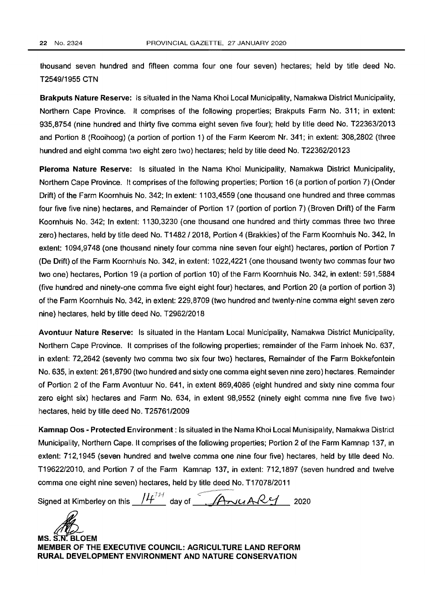thousand seven hundred and fifteen comma four one four seven) hectares; held by title deed No. T2549/1955 CTN

Brakputs Nature Reserve: Is situated in the Nama Khoi Local Municipality, Namakwa District Municipality, Northern Cape Province. It comprises of the following properties; Brakputs Farm No. 311; in extent: 935,8754 (nine hundred and thirty five comma eight seven five four); held by title deed No. T22363/2013 and Portion 8 (Rooihoog) (a portion of portion 1) of the Farm Keerom Nr. 341; in extent: 308,2802 (three hundred and eight comma two eight zero two) hectares; held by title deed No. T22362/20123

Pleroma Nature Reserve: Is situated in the Nama Khoi Municipality, Namakwa District Municipality, Northern Cape Province. It comprises of the following properties; Portion 16 (a portion of portion 7) (Onder Drift) of the Farm Koornhuis No. 342; In extent: 1103,4559 (one thousand one hundred and three commas four five five nine) hectares, and Remainder of Portion 17 (portion of portion 7) (Broven Drift) of the Farm Koornhuis No. 342; In extent: 1130.3230 (one thousand one hundred and thirty commas three two three zero) hectares, held by title deed No. T1482/2018. Portion 4 (Brakkies) of the Farm Koornhuis No. 342, In extent: 1094,9748 (one thousand ninety four comma nine seven four eight) hectares, portion of Portion 7 (De Drift) of the Farm Koornhuis No. 342, in extent: 1022,4221 (one thousand twenty two commas four two two one) hectares, Portion 19 (a portion of portion 10) of the Farm Koornhuis No. 342, in extent: 591,5884 (five hundred and ninety-one comma five eight eight four) hectares, and Portion 20 (a portion of portion 3) of the Farm Koornhuis No. 342, in extent: 229,8709 (two hundred and twenty-nine comma eight seven zero nine) hectares, held by title deed No. T2962/2018

Avontuur Nature Reserve: Is situated in the Hantam Local Municipality, Namakwa District Municipality. Northern Cape Province. It comprises of the following properties; remainder of the Farm Inhoek No. 637, in extent: 72,2642 (seventy two comma two six four two) hectares, Remainder of the Farm Bokkefontein No. 635, in extent: 261,8790 (two hundred and sixty one comma eight seven nine zero) hectares. Remainder of Portion 2 of the Farm Avontuur No. 641. in extent 869,4086 (eight hundred and sixty nine comma four zero eight six) hectares and Farm No. 634, in extent 98.9552 (ninety eight comma nine five five two) hectares, held by title deed No. T25761/2009

Kamnap Oos - Protected Environment: Is situated in the Nama Khoi Local Munisipality, Namakwa District Municipality, Northern Cape. It comprises of the following properties; Portion 2 of the Farm Kamnap 137, in extent: 712,1945 (seven hundred and twelve comma one nine four five) hectares, held by title deed No. T1962212010, and Portion 7 of the Farm Kamnap 137, in extent: 712,1897 {seven hundred and twelve comma one eight nine seven} hectares, held by title deed No. T17078/2011

Signed at Kimberley on this  $14^{7+1}$  day of  $74^{14}$   $48^{11}$  2020

MS. S.N. BLOEM MEMBER OF THE EXECUTIVE COUNCIL: AGRICULTURE LAND REFORM RURAL DEVELOPMENT ENVIRONMENT AND NATURE CONSERVATION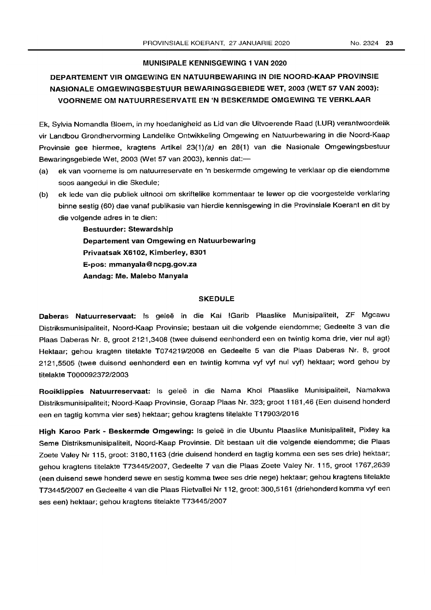#### MUNISIPALE KENNISGEWING 1 VAN 2020

# DEPARTEMENT VIR OMGEWfNG EN NATUURBEWARING IN DIE NOORD-KAAP PROVINSIE NASIONALE OMGEWINGSBESTUUR BEWARINGSGEBIEDE WET, 2003 (WET 57 VAN 2003): VOORNEME OM NATUURRESERVATE EN 'N BESKERMDE OMGEWING TE VERKLAAR

Ek, Sylvia Nomandla Bloem, in my hoedanigheid as Lid van die Uitvoerende Raad (LUR) verantwoordelik vir Landbou Grondhervorming Landelike Ontwikkeling Omgewing en Natuurbewaring in die Noord-Kaap Provinsie gee hiermee, kragtens Artikel 23(1)(a) en 28(1) van die Nasionale Omgewingsbestuur Bewaringsgebiede Wet, 2003 (Wet 57 van 2003), kennis dat:-

- (a) ek van voorneme is om natuurreservate en 'n beskermde omgewing te verklaar op die eiendomme soos aangedui in die Skedule;
- (b) ek lede van die publiek uitnooi om skriftelike kommentaar te lewer op die voorgestelde verklaring binne sestig (60) dae vanaf publikasie van hierdie kennisgewing in die Provinsiale Koerant en dit by die volgende adres in te dien:

Bestuurder: Stewardship Departement van Omgewing en Natuurbewaring Privaatsak X6102, Kimberley, 8301 E-pos: mmanyala@ ncpg.gov.za Aandag: Me. Malebo Manyala

#### **SKEDULE**

Daberas Natuurreservaat: Is geleë in die Kai !Garib Plaaslike Munisipaliteit, ZF Mgcawu Oistriksmunisipaliteit, Noord-Kaap Provinsie; bestaan uit die volgende eiendomme; Gedeelte 3 van die Plaas Oaberas Nr. 8, groot 2121,3408 (twee duisend eenhonderd een en twintig koma drie, vier nul agt) Hektaar; gehou kragten titelakte T074219/2008 en Gedeelte 5 van die Plaas Oaberas Nr. 8, groot 2121,5505 (twee duisend eenhonderd een en twintig komma vyf vyf nul vyf) hektaar; word gehou by titelakte T00009237212003

Rooiklippies Natuurreservaat: Is geleë in die Nama Khoi Plaaslike Munisipaliteit, Namakwa Distriksmunisipaliteit; Noord-Kaap Provinsie, Goraap Plaas Nr. 323; groot 1181,46 (Een duisend honderd een en tagtig komma vier ses) hektaar; gehou kragtens titelakte T17903/2016

High Karoo Park - Beskermde Omgewing: Is geleë in die Ubuntu Plaaslike Munisipaliteit, Pixley ka Seme Distriksmunisipaliteit, Noord-Kaap Provinsie. Dit bestaan uit die volgende eiendomme; die Plaas Zoete Valey Nr 115, groot: 3180,1163 (drie duisend honderd en tagtig komma een ses ses drie) hektaar; gehou kragtens titelakte T73445/2007, Gedeelte 7 van die Plaas Zoete Valey Nr. 115, groot 1767,2639 (een duisend sewe honderd sewe en sestig komma twee ses drie nege) hektaar; gehou kragtens titelakte T73445/2007 en Gedeelte 4 van die Plaas Rietvallei Nr 112, groot: 300,5161 (driehonderd komma vyf een ses een) hektaar; gehou kragtens titelakte T73445/2007